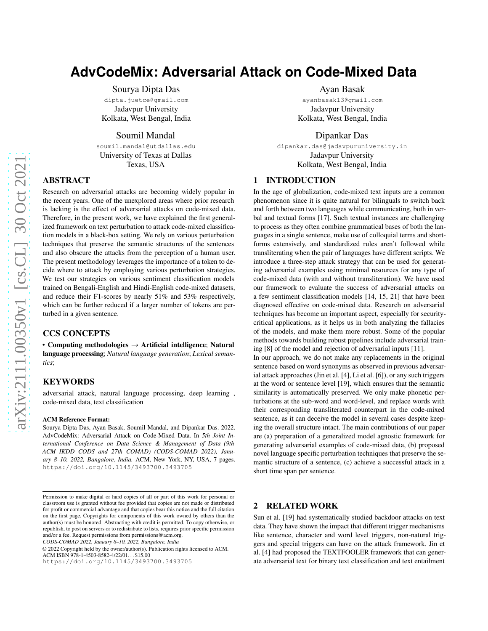# **AdvCodeMix: Adversarial Attack on Code-Mixed Data**

Sourya Dipta Das

dipta.juetce@gmail.com Jadavpur University Kolkata, West Bengal, India

Soumil Mandal

soumil.mandal@utdallas.edu University of Texas at Dallas Texas, USA

# ABSTRACT

Research on adversarial attacks are becoming widely popular in the recent years. One of the unexplored areas where prior research is lacking is the effect of adversarial attacks on code-mixed data. Therefore, in the present work, we have explained the first generalized framework on text perturbation to attack code-mixed classification models in a black-box setting. We rely on various perturbation techniques that preserve the semantic structures of the sentences and also obscure the attacks from the perception of a human user. The present methodology leverages the importance of a token to decide where to attack by employing various perturbation strategies. We test our strategies on various sentiment classification models trained on Bengali-English and Hindi-English code-mixed datasets, and reduce their F1-scores by nearly 51% and 53% respectively, which can be further reduced if a larger number of tokens are perturbed in a given sentence.

# CCS CONCEPTS

• Computing methodologies  $\rightarrow$  Artificial intelligence; Natural language processing; *Natural language generation*; *Lexical semantics*;

#### KEYWORDS

adversarial attack, natural language processing, deep learning , code-mixed data, text classification

#### ACM Reference Format:

Sourya Dipta Das, Ayan Basak, Soumil Mandal, and Dipankar Das. 2022. AdvCodeMix: Adversarial Attack on Code-Mixed Data. In *5th Joint International Conference on Data Science & Management of Data (9th ACM IKDD CODS and 27th COMAD) (CODS-COMAD 2022), January 8–10, 2022, Bangalore, India.* ACM, New York, NY, USA, [7](#page-6-0) pages. <https://doi.org/10.1145/3493700.3493705>

*CODS-COMAD 2022, January 8–10, 2022, Bangalore, India*

© 2022 Copyright held by the owner/author(s). Publication rights licensed to ACM. ACM ISBN 978-1-4503-8582-4/22/01. . . \$15.00

<https://doi.org/10.1145/3493700.3493705>

#### Ayan Basak

ayanbasak13@gmail.com Jadavpur University Kolkata, West Bengal, India

# Dipankar Das

dipankar.das@jadavpuruniversity.in Jadavpur University Kolkata, West Bengal, India

# 1 INTRODUCTION

In the age of globalization, code-mixed text inputs are a common phenomenon since it is quite natural for bilinguals to switch back and forth between two languages while communicating, both in verbal and textual forms [\[17\]](#page-4-0). Such textual instances are challenging to process as they often combine grammatical bases of both the languages in a single sentence, make use of colloquial terms and shortforms extensively, and standardized rules aren't followed while transliterating when the pair of languages have different scripts. We introduce a three-step attack strategy that can be used for generating adversarial examples using minimal resources for any type of code-mixed data (with and without transliteration). We have used our framework to evaluate the success of adversarial attacks on a few sentiment classification models [\[14](#page-4-1), [15](#page-4-2), [21\]](#page-4-3) that have been diagnosed effective on code-mixed data. Research on adversarial techniques has become an important aspect, especially for securitycritical applications, as it helps us in both analyzing the fallacies of the models, and make them more robust. Some of the popular methods towards building robust pipelines include adversarial training [\[8](#page-4-4)] of the model and rejection of adversarial inputs [\[11](#page-4-5)].

In our approach, we do not make any replacements in the original sentence based on word synonyms as observed in previous adversarial attack approaches (Jin et al. [\[4\]](#page-4-6), Li et al. [\[6\]](#page-4-7)), or any such triggers at the word or sentence level [\[19\]](#page-4-8), which ensures that the semantic similarity is automatically preserved. We only make phonetic perturbations at the sub-word and word-level, and replace words with their corresponding transliterated counterpart in the code-mixed sentence, as it can deceive the model in several cases despite keeping the overall structure intact. The main contributions of our paper are (a) preparation of a generalized model agnostic framework for generating adversarial examples of code-mixed data, (b) proposed novel language specific perturbation techniques that preserve the semantic structure of a sentence, (c) achieve a successful attack in a short time span per sentence.

#### 2 RELATED WORK

Sun et al. [\[19\]](#page-4-8) had systematically studied backdoor attacks on text data. They have shown the impact that different trigger mechanisms like sentence, character and word level triggers, non-natural triggers and special triggers can have on the attack framework. Jin et al. [\[4](#page-4-6)] had proposed the TEXTFOOLER framework that can generate adversarial text for binary text classification and text entailment

Permission to make digital or hard copies of all or part of this work for personal or classroom use is granted without fee provided that copies are not made or distributed for profit or commercial advantage and that copies bear this notice and the full citation on the first page. Copyrights for components of this work owned by others than the author(s) must be honored. Abstracting with credit is permitted. To copy otherwise, or republish, to post on servers or to redistribute to lists, requires prior specific permission and/or a fee. Request permissions from permissions@acm.org.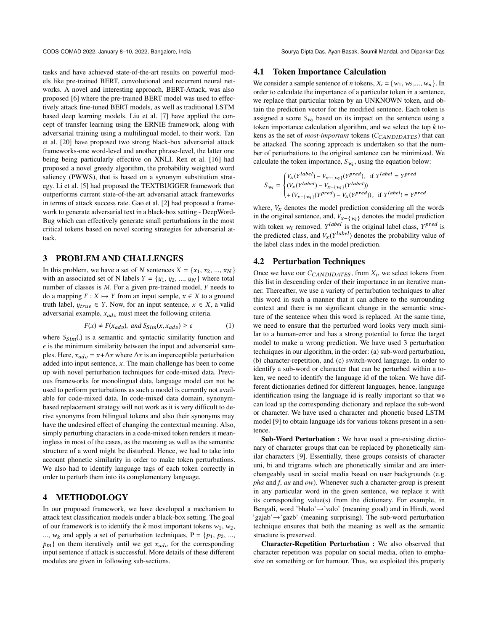CODS-COMAD 2022, January 8-10, 2022, Bangalore, India Sourya Dipta Das, Ayan Basak, Soumil Mandal, and Dipankar Das

tasks and have achieved state-of-the-art results on powerful models like pre-trained BERT, convolutional and recurrent neural networks. A novel and interesting approach, BERT-Attack, was also proposed [\[6](#page-4-7)] where the pre-trained BERT model was used to effectively attack fine-tuned BERT models, as well as traditional LSTM based deep learning models. Liu et al. [\[7](#page-4-9)] have applied the concept of transfer learning using the ERNIE framework, along with adversarial training using a multilingual model, to their work. Tan et al. [\[20](#page-4-10)] have proposed two strong black-box adversarial attack frameworks-one word-level and another phrase-level, the latter one being being particularly effective on XNLI. Ren et al. [\[16](#page-4-11)] had proposed a novel greedy algorithm, the probability weighted word saliency (PWWS), that is based on a synonym substitution strategy. Li et al. [\[5](#page-4-12)] had proposed the TEXTBUGGER framework that outperforms current state-of-the-art adversarial attack frameworks in terms of attack success rate. Gao et al. [\[2\]](#page-4-13) had proposed a framework to generate adversarial text in a black-box setting - DeepWord-Bug which can effectively generate small perturbations in the most critical tokens based on novel scoring strategies for adversarial attack.

# 3 PROBLEM AND CHALLENGES

In this problem, we have a set of N sentences  $X = \{x_1, x_2, ..., x_N\}$ with an associated set of N labels  $Y = \{y_1, y_2, ..., y_N\}$  where total number of classes is  $M$ . For a given pre-trained model,  $F$  needs to do a mapping  $F : X \mapsto Y$  from an input sample,  $x \in X$  to a ground truth label,  $y_{true} \in Y$ . Now, for an input sentence,  $x \in X$ , a valid adversarial example,  $x_{adv}$  must meet the following criteria.

$$
F(x) \neq F(x_{adv}), \text{ and } S_{Sim}(x, x_{adv}) \ge \epsilon \tag{1}
$$

where  $S_{Sim}(.)$  is a semantic and syntactic similarity function and  $\epsilon$  is the minimum similarity between the input and adversarial samples. Here,  $x_{adv} = x + \Delta x$  where  $\Delta x$  is an imperceptible perturbation added into input sentence,  $x$ . The main challenge has been to come up with novel perturbation techniques for code-mixed data. Previous frameworks for monolingual data, language model can not be used to perform perturbations as such a model is currently not available for code-mixed data. In code-mixed data domain, synonymbased replacement strategy will not work as it is very difficult to derive synonyms from bilingual tokens and also their synonyms may have the undesired effect of changing the contextual meaning. Also, simply perturbing characters in a code-mixed token renders it meaningless in most of the cases, as the meaning as well as the semantic structure of a word might be disturbed. Hence, we had to take into account phonetic similarity in order to make token perturbations. We also had to identify language tags of each token correctly in order to perturb them into its complementary language.

# 4 METHODOLOGY

In our proposed framework, we have developed a mechanism to attack text classification models under a black-box setting. The goal of our framework is to identify the  $k$  most important tokens  $w_1$ ,  $w_2$ , ...,  $w_k$  and apply a set of perturbation techniques,  $P = \{p_1, p_2, \ldots, p_k\}$  $p_m$ } on them iteratively until we get  $x_{adv}$  for the corresponding input sentence if attack is successful. More details of these different modules are given in following sub-sections.

#### <span id="page-1-0"></span>4.1 Token Importance Calculation

We consider a sample sentence of *n* tokens,  $X_i = \{w_1, w_2, ..., w_n\}$ . In order to calculate the importance of a particular token in a sentence, we replace that particular token by an UNKNOWN token, and obtain the prediction vector for the modified sentence. Each token is assigned a score  $S_{w_i}$  based on its impact on the sentence using a token importance calculation algorithm, and we select the top *k* tokens as the set of *most-important* tokens (*C<sub>CANDIDATES*) that can</sub> be attacked. The scoring approach is undertaken so that the number of perturbations to the original sentence can be minimized. We calculate the token importance,  $S_{w_i}$ , using the equation below:

$$
S_{w_i} = \begin{cases} V_x(Y^{label}) - V_{x - \{w_i\}}(Y^{pred}), & \text{if } Y^{label} = Y^{pred} \\ (V_x(Y^{label}) - V_{x - \{w_i\}}(Y^{label})) \\ + (V_{x - \{w_i\}}(Y^{pred}) - V_x(Y^{pred})) & \text{if } Y^{label} = Y^{pred} \end{cases}
$$

where,  $V_x$  denotes the model prediction considering all the words in the original sentence, and,  $V_{x-\{w_i\}}$  denotes the model prediction with token  $w_i$  removed.  $Y^{label}$  is the original label class,  $Y^{pred}$  is the predicted class, and  $V_x(Y^{label})$  denotes the probability value of the label class index in the model prediction.

#### 4.2 Perturbation Techniques

Once we have our  $C_{CANDIDATES}$ , from  $X_i$ , we select tokens from this list in descending order of their importance in an iterative manner. Thereafter, we use a variety of perturbation techniques to alter this word in such a manner that it can adhere to the surrounding context and there is no significant change in the semantic structure of the sentence when this word is replaced. At the same time, we need to ensure that the perturbed word looks very much similar to a human-error and has a strong potential to force the target model to make a wrong prediction. We have used 3 perturbation techniques in our algorithm, in the order: (a) sub-word perturbation, (b) character-repetition, and (c) switch-word language. In order to identify a sub-word or character that can be perturbed within a token, we need to identify the language id of the token. We have different dictionaries defined for different languages, hence, language identification using the language id is really important so that we can load up the corresponding dictionary and replace the sub-word or character. We have used a character and phonetic based LSTM model [\[9\]](#page-4-14) to obtain language ids for various tokens present in a sentence.

Sub-Word Perturbation : We have used a pre-existing dictionary of character groups that can be replaced by phonetically similar characters [\[9](#page-4-14)]. Essentially, these groups consists of character uni, bi and trigrams which are phonetically similar and are interchangeably used in social media based on user backgrounds (e.g. *pha* and *f*, *au* and *ow*). Whenever such a character-group is present in any particular word in the given sentence, we replace it with its corresponding value(s) from the dictionary. For example, in Bengali, word 'bhalo'→'valo' (meaning good) and in Hindi, word 'gajab'→'gazb' (meaning surprising). The sub-word perturbation technique ensures that both the meaning as well as the semantic structure is preserved.

Character-Repetition Perturbation : We also observed that character repetition was popular on social media, often to emphasize on something or for humour. Thus, we exploited this property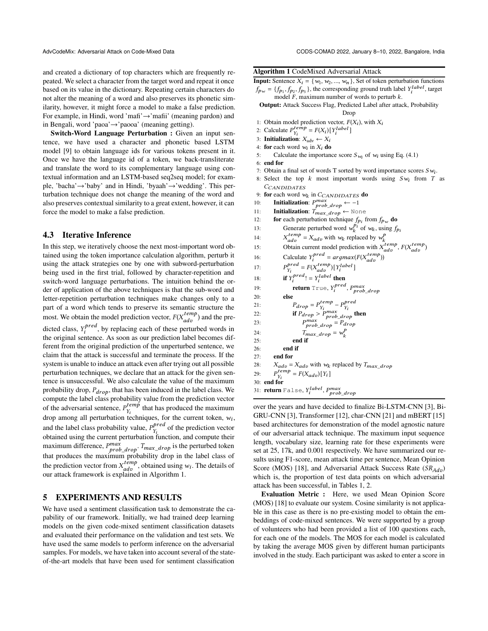and created a dictionary of top characters which are frequently repeated. We select a character from the target word and repeat it once based on its value in the dictionary. Repeating certain characters do not alter the meaning of a word and also preserves its phonetic similarity, however, it might force a model to make a false prediction. For example, in Hindi, word 'mafi'→'mafii' (meaning pardon) and in Bengali, word 'paoa'→'paooa' (meaning getting).

Switch-Word Language Perturbation : Given an input sentence, we have used a character and phonetic based LSTM model [\[9](#page-4-14)] to obtain language ids for various tokens present in it. Once we have the language id of a token, we back-transliterate and translate the word to its complementary language using contextual information and an LSTM-based seq2seq model; for example, 'bacha'→'baby' and in Hindi, 'byaah'→'wedding'. This perturbation technique does not change the meaning of the word and also preserves contextual similarity to a great extent, however, it can force the model to make a false prediction.

#### 4.3 Iterative Inference

In this step, we iteratively choose the next most-important word obtained using the token importance calculation algorithm, perturb it using the attack strategies one by one with subword-perturbation being used in the first trial, followed by character-repetition and switch-word language perturbations. The intuition behind the order of application of the above techniques is that the sub-word and letter-repetition perturbation techniques make changes only to a part of a word which tends to preserve its semantic structure the most. We obtain the model prediction vector,  $F(X_{adv}^{temp})$  and the predicted class,  $Y_i^{pred}$  $\sum_{i}^{pred}$ , by replacing each of these perturbed words in the original sentence. As soon as our prediction label becomes different from the original prediction of the unperturbed sentence, we claim that the attack is successful and terminate the process. If the system is unable to induce an attack even after trying out all possible perturbation techniques, we declare that an attack for the given sentence is unsuccessful. We also calculate the value of the maximum probability drop,  $P_{drop}$ , that has been induced in the label class. We compute the label class probability value from the prediction vector of the adversarial sentence,  $P_{Y}^{temp}$  $Y_i^{temp}$  that has produced the maximum drop among all perturbation techniques, for the current token,  $w_i$ , and the label class probability value,  $P_{V_i}^{pred}$  $Y_i^{pred}$  of the prediction vector obtained using the current perturbation function, and compute their maximum difference,  $P_{prob\_drop}^{max}$ .  $T_{max\_drop}$  is the perturbed token that produces the maximum probability drop in the label class of the prediction vector from  $X_{adv}^{temp}$ , obtained using  $w_i$ . The details of our attack framework is explained in Algorithm [1.](#page-2-0)

# 5 EXPERIMENTS AND RESULTS

We have used a sentiment classification task to demonstrate the capability of our framework. Initially, we had trained deep learning models on the given code-mixed sentiment classification datasets and evaluated their performance on the validation and test sets. We have used the same models to perform inference on the adversarial samples. For models, we have taken into account several of the stateof-the-art models that have been used for sentiment classification

#### <span id="page-2-0"></span>Algorithm 1 CodeMixed Adversarial Attack

**Input:** Sentence  $X_i = \{w_1, w_2, ..., w_n\}$ , Set of token perturbation functions  $f_{\mathbf{p}_w} = \{f_{\mathbf{p}_1}, f_{\mathbf{p}_2}, f_{\mathbf{p}_3}\}\,$ , the corresponding ground truth label  $Y_i^{label}$ , target model  $F$ , maximum number of words to perturb  $k$ .

Output: Attack Success Flag, Predicted Label after attack, Probability Drop

- 1: Obtain model prediction vector,  $F(X_i)$ , with  $X_i$
- 2: Calculate  $P_{Y_i}^{temp} = F(X_i) [Y_i^{label}]$
- 3: Initialization:  $X_{\text{adv}} \leftarrow X_i$
- 4: **for** each word  $w_i$  in  $X_i$  **do**
- 5: Calculate the importance score  $S_{w_i}$  of  $w_i$  using Eq. [\(4.1\)](#page-1-0)
- 6: end for
- 7: Obtain a final set of words T sorted by word importance scores  $Sw_i$ .
- 8: Select the top  $k$  most important words using  $Sw_i$  from  $T$  as
- CCANDIDATES
- 9: for each word  $w_k$  in  $C_{CANDIDATES}$  do<br>10: Initialization:  $P^{max}$   $\leftarrow -1$
- 10: **Initialization**:  $P_{prob\_drop}^{max} \leftarrow -1$
- 11: **Initialization**:  $T_{max\_drop} \leftarrow$  None
- 12: **for** each perturbation technique  $f_{p_i}$  from  $f_{p_w}$  do
- 13: Generate perturbed word  $w_k^{pi}$  of  $w_k$ , using  $f_{p_i}$
- 
- 14:  $X_{\text{cdv}}^{\text{term}} = X_{\text{adv}}^{\text{cut}}$  with  $w_k$  replaced by  $w_k^{\text{temp}}$ <br>15: Obtain current model prediction with  $X_{\text{adv}}^{\text{temp}}$ ,  $F(X_{\text{adv}}^{\text{temp}})$
- 16: Calculate  $Y_i^{pred} = argmax(F(X_{adv}^{temp}))$ <br>
17:  $P_{Y_i}^{pred} = F(X_{adv}^{temp}) [Y_i^{label}]$

```
17:
```

```
18: if Y_i^{pred}! = Y_i^{label} then
```

```
19: return True, Y_i^{pred}, P_{prob\_drop}^{max}20:
```

```
21: P_{drop} = P_{Y_i}^{temp} - P_{Y_i}^{pred}<br>
22: if P_{drop} > P_{prob\_drop}^{max} then
```

```
23: P_{prob\_drop}^{max} = P_{drop}
```
- 24:  $T_{max\_drop} = w_k^p$
- 25: end if
	-
- 26: end if  $27<sup>°</sup>$  end for
	-
- 28:  $X_{adv} = X_{adv}$  with  $w_k$  replaced by  $T_{max}$  drop
- 29:  $\sum_{i}^{temp} = F(X_{adv})[Y_i]$
- 30: end for
- 31: return False,  $Y_{i}^{label}$ ,  $P_{provb\_drop}^{max}$

over the years and have decided to finalize Bi-LSTM-CNN [\[3\]](#page-4-15), Bi-GRU-CNN [\[3\]](#page-4-15), Transformer [\[12\]](#page-4-16), char-CNN [\[21](#page-4-3)] and mBERT [\[15](#page-4-2)] based architectures for demonstration of the model agnostic nature of our adversarial attack technique. The maximum input sequence length, vocabulary size, learning rate for these experiments were set at 25, 17k, and 0.001 respectively. We have summarized our results using F1-score, mean attack time per sentence, Mean Opinion Score (MOS) [\[18](#page-4-17)], and Adversarial Attack Success Rate  $(SR_{Ad}n)$ which is, the proportion of test data points on which adversarial attack has been successful, in Tables [1,](#page-3-0) [2.](#page-3-1)

Evaluation Metric : Here, we used Mean Opinion Score (MOS) [\[18](#page-4-17)] to evaluate our system. Cosine similarity is not applicable in this case as there is no pre-existing model to obtain the embeddings of code-mixed sentences. We were supported by a group of volunteers who had been provided a list of 100 questions each, for each one of the models. The MOS for each model is calculated by taking the average MOS given by different human participants involved in the study. Each participant was asked to enter a score in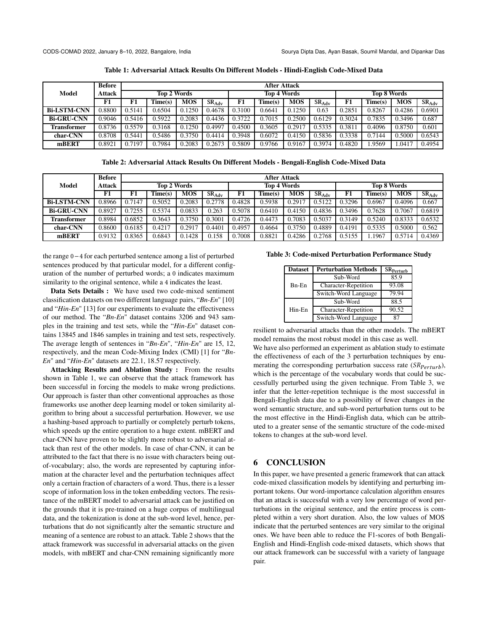<span id="page-3-0"></span>

|                    | <b>Before</b>                |        |         |            |             |        | <b>After Attack</b> |                    |            |        |         |            |            |
|--------------------|------------------------------|--------|---------|------------|-------------|--------|---------------------|--------------------|------------|--------|---------|------------|------------|
| Model              | <b>Top 2 Words</b><br>Attack |        |         |            | Top 4 Words |        |                     | <b>Top 8 Words</b> |            |        |         |            |            |
|                    | F1                           | F1     | Time(s) | <b>MOS</b> | $SR_{Adv}$  | F1     | Time(s)             | <b>MOS</b>         | $SR_{Adv}$ | F1     | Time(s) | <b>MOS</b> | $SR_{Adv}$ |
| <b>Bi-LSTM-CNN</b> | 0.8800                       | 0.5141 | 0.6504  | 0.1250     | 0.4678      | 0.3100 | 0.6641              | 0.1250             | 0.63       | 0.2851 | 0.8267  | 0.4286     | 0.6901     |
| <b>Bi-GRU-CNN</b>  | 0.9046                       | 0.5416 | 0.5922  | 0.2083     | 0.4436      | 0.3722 | 0.7015              | 0.2500             | 0.6129     | 0.3024 | 0.7835  | 0.3496     | 0.687      |
| Transformer        | 0.8736                       | 0.5579 | 0.3168  | 0.1250     | 0.4997      | 0.4500 | 0.3605              | 0.2917             | 0.5335     | 0.3811 | 0.4096  | 0.8750     | 0.601      |
| char-CNN           | 0.8708                       | 0.5441 | 0.5486  | 0.3750     | 0.4414      | 0.3948 | 0.6072              | 0.4150             | 0.5836     | 0.3338 | 0.7144  | 0.5000     | 0.6543     |
| mBERT              | 0.8921                       | 0.7197 | 0.7984  | 0.2083     | 0.2673      | 0.5809 | 0.9766              | 0.9167             | 0.3974     | 0.4820 | 1.9569  | 1.0417     | 0.4954     |

Table 1: Adversarial Attack Results On Different Models - Hindi-English Code-Mixed Data

Table 2: Adversarial Attack Results On Different Models - Bengali-English Code-Mixed Data

<span id="page-3-1"></span>

|                    | <b>Before</b> |                    | <b>After Attack</b> |            |                    |        |         |                    |            |        |         |            |            |
|--------------------|---------------|--------------------|---------------------|------------|--------------------|--------|---------|--------------------|------------|--------|---------|------------|------------|
| <b>Model</b>       | Attack        | <b>Top 2 Words</b> |                     |            | <b>Top 4 Words</b> |        |         | <b>Top 8 Words</b> |            |        |         |            |            |
|                    | F1            | F1                 | Time(s)             | <b>MOS</b> | $SR_{Adv}$         | F1     | Time(s) | <b>MOS</b>         | $SR_{Adv}$ | F1     | Time(s) | <b>MOS</b> | $SR_{Adv}$ |
| <b>Bi-LSTM-CNN</b> | 0.8966        | 0.7147             | 0.5052              | 0.2083     | 0.2778             | 0.4828 | 0.5938  | 0.2917             | 0.5122     | 0.3296 | 0.6967  | 0.4096     | 0.667      |
| <b>Bi-GRU-CNN</b>  | 0.8927        | 0.7255             | 0.5374              | 0.0833     | 0.263              | 0.5078 | 0.6410  | 0.4150             | 0.4836     | 0.3496 | 0.7628  | 0.7067     | 0.6819     |
| Transformer        | 0.8984        | 0.6852             | 0.3643              | 0.3750     | 0.3001             | 0.4726 | 0.4473  | 0.7083             | 0.5037     | 0.3149 | 0.5240  | 0.8333     | 0.6532     |
| char-CNN           | 0.8600        | 0.6185             | 0.4217              | 0.2917     | 0.4401             | 0.4957 | 0.4664  | 0.3750             | 0.4889     | 0.4191 | 0.5335  | 0.5000     | 0.562      |
| mBERT              | 0.9132        | 0.8365             | 0.6843              | 0.1428     | 0.158              | 0.7008 | 0.8821  | 0.4286             | 0.2768     | 0.5155 | .1967   | 0.5714     | 0.4369     |

the range 0−4 for each perturbed sentence among a list of perturbed sentences produced by that particular model, for a different configuration of the number of perturbed words; a 0 indicates maximum similarity to the original sentence, while a 4 indicates the least.

Data Sets Details : We have used two code-mixed sentiment classification datasets on two different language pairs, "*Bn-En*" [\[10](#page-4-18)] and "*Hin-En*" [\[13\]](#page-4-19) for our experiments to evaluate the effectiveness of our method. The "*Bn-En*" dataset contains 3206 and 943 samples in the training and test sets, while the "*Hin-En*" dataset contains 13845 and 1846 samples in training and test sets, respectively. The average length of sentences in "*Bn-En*", "*Hin-En*" are 15, 12, respectively, and the mean Code-Mixing Index (CMI) [\[1\]](#page-4-20) for "*Bn-En*" and "*Hin-En*" datasets are 22.1, 18.57 respectively.

Attacking Results and Ablation Study : From the results shown in Table [1,](#page-3-0) we can observe that the attack framework has been successful in forcing the models to make wrong predictions. Our approach is faster than other conventional approaches as those frameworks use another deep learning model or token similarity algorithm to bring about a successful perturbation. However, we use a hashing-based approach to partially or completely perturb tokens, which speeds up the entire operation to a huge extent. mBERT and char-CNN have proven to be slightly more robust to adversarial attack than rest of the other models. In case of char-CNN, it can be attributed to the fact that there is no issue with characters being outof-vocabulary; also, the words are represented by capturing information at the character level and the perturbation techniques affect only a certain fraction of characters of a word. Thus, there is a lesser scope of information loss in the token embedding vectors. The resistance of the mBERT model to adversarial attack can be justified on the grounds that it is pre-trained on a huge corpus of multilingual data, and the tokenization is done at the sub-word level, hence, perturbations that do not significantly alter the semantic structure and meaning of a sentence are robust to an attack. Table [2](#page-3-1) shows that the attack framework was successful in adversarial attacks on the given models, with mBERT and char-CNN remaining significantly more

#### <span id="page-3-2"></span>Table 3: Code-mixed Perturbation Performance Study

| <b>Dataset</b> | <b>Perturbation Methods</b> | SR <sub>Perturb</sub> |
|----------------|-----------------------------|-----------------------|
|                | Sub-Word                    | 85.9                  |
| $Bn-En$        | <b>Character-Repetition</b> | 93.08                 |
|                | Switch-Word Language        | 79.94                 |
|                | Sub-Word                    | 88.5                  |
| Hin-En         | <b>Character-Repetition</b> | 90.52                 |
|                | Switch-Word Language        | 87                    |

resilient to adversarial attacks than the other models. The mBERT model remains the most robust model in this case as well.

We have also performed an experiment as ablation study to estimate the effectiveness of each of the 3 perturbation techniques by enumerating the corresponding perturbation success rate  $(SR_{Perturb})$ , which is the percentage of the vocabulary words that could be successfully perturbed using the given technique. From Table [3,](#page-3-2) we infer that the letter-repetition technique is the most successful in Bengali-English data due to a possibility of fewer changes in the word semantic structure, and sub-word perturbation turns out to be the most effective in the Hindi-English data, which can be attributed to a greater sense of the semantic structure of the code-mixed tokens to changes at the sub-word level.

#### 6 CONCLUSION

In this paper, we have presented a generic framework that can attack code-mixed classification models by identifying and perturbing important tokens. Our word-importance calculation algorithm ensures that an attack is successful with a very low percentage of word perturbations in the original sentence, and the entire process is completed within a very short duration. Also, the low values of MOS indicate that the perturbed sentences are very similar to the original ones. We have been able to reduce the F1-scores of both Bengali-English and Hindi-English code-mixed datasets, which shows that our attack framework can be successful with a variety of language pair.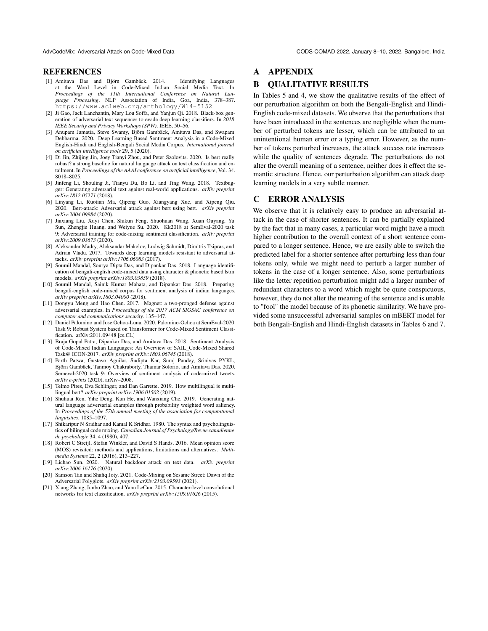#### **REFERENCES**

- <span id="page-4-20"></span>[1] Amitava Das and Björn Gambäck. 2014. Identifying Languages at the Word Level in Code-Mixed Indian Social Media Text. In *Proceedings of the 11th International Conference on Natural Language Processing*. NLP Association of India, Goa, India, 378–387. <https://www.aclweb.org/anthology/W14-5152>
- <span id="page-4-13"></span>[2] Ji Gao, Jack Lanchantin, Mary Lou Soffa, and Yanjun Qi. 2018. Black-box generation of adversarial text sequences to evade deep learning classifiers. In *2018 IEEE Security and Privacy Workshops (SPW)*. IEEE, 50–56.
- <span id="page-4-15"></span>[3] Anupam Jamatia, Steve Swamy, Björn Gambäck, Amitava Das, and Swapam Debbarma. 2020. Deep Learning Based Sentiment Analysis in a Code-Mixed English-Hindi and English-Bengali Social Media Corpus. *International journal on artificial intelligence tools* 29, 5 (2020).
- <span id="page-4-6"></span>[4] Di Jin, Zhijing Jin, Joey Tianyi Zhou, and Peter Szolovits. 2020. Is bert really robust? a strong baseline for natural language attack on text classification and entailment. In *Proceedings of the AAAI conference on artificial intelligence*, Vol. 34. 8018–8025.
- <span id="page-4-12"></span>[5] Jinfeng Li, Shouling Ji, Tianyu Du, Bo Li, and Ting Wang. 2018. Textbugger: Generating adversarial text against real-world applications. *arXiv preprint arXiv:1812.05271* (2018).
- <span id="page-4-7"></span>[6] Linyang Li, Ruotian Ma, Qipeng Guo, Xiangyang Xue, and Xipeng Qiu. 2020. Bert-attack: Adversarial attack against bert using bert. *arXiv preprint arXiv:2004.09984* (2020).
- <span id="page-4-9"></span>[7] Jiaxiang Liu, Xuyi Chen, Shikun Feng, Shuohuan Wang, Xuan Ouyang, Yu Sun, Zhengjie Huang, and Weiyue Su. 2020. Kk2018 at SemEval-2020 task 9: Adversarial training for code-mixing sentiment classification. *arXiv preprint arXiv:2009.03673* (2020).
- <span id="page-4-4"></span>[8] Aleksander Madry, Aleksandar Makelov, Ludwig Schmidt, Dimitris Tsipras, and Adrian Vladu. 2017. Towards deep learning models resistant to adversarial attacks. *arXiv preprint arXiv:1706.06083* (2017).
- <span id="page-4-14"></span>[9] Soumil Mandal, Sourya Dipta Das, and Dipankar Das. 2018. Language identification of bengali-english code-mixed data using character & phonetic based lstm models. *arXiv preprint arXiv:1803.03859* (2018).
- <span id="page-4-18"></span>[10] Soumil Mandal, Sainik Kumar Mahata, and Dipankar Das. 2018. Preparing bengali-english code-mixed corpus for sentiment analysis of indian languages. *arXiv preprint arXiv:1803.04000* (2018).
- <span id="page-4-5"></span>[11] Dongyu Meng and Hao Chen. 2017. Magnet: a two-pronged defense against adversarial examples. In *Proceedings of the 2017 ACM SIGSAC conference on computer and communications security*. 135–147.
- <span id="page-4-16"></span>[12] Daniel Palomino and Jose Ochoa-Luna. 2020. Palomino-Ochoa at SemEval-2020 Task 9: Robust System based on Transformer for Code-Mixed Sentiment Classification. arXiv[:2011.09448](https://arxiv.org/abs/2011.09448) [cs.CL]
- <span id="page-4-19"></span>[13] Braja Gopal Patra, Dipankar Das, and Amitava Das. 2018. Sentiment Analysis of Code-Mixed Indian Languages: An Overview of SAIL\_Code-Mixed Shared Task@ ICON-2017. *arXiv preprint arXiv:1803.06745* (2018).
- <span id="page-4-1"></span>[14] Parth Patwa, Gustavo Aguilar, Sudipta Kar, Suraj Pandey, Srinivas PYKL, Björn Gambäck, Tanmoy Chakraborty, Thamar Solorio, and Amitava Das. 2020. Semeval-2020 task 9: Overview of sentiment analysis of code-mixed tweets. *arXiv e-prints* (2020), arXiv–2008.
- <span id="page-4-2"></span>[15] Telmo Pires, Eva Schlinger, and Dan Garrette. 2019. How multilingual is multilingual bert? *arXiv preprint arXiv:1906.01502* (2019).
- <span id="page-4-11"></span>[16] Shuhuai Ren, Yihe Deng, Kun He, and Wanxiang Che. 2019. Generating natural language adversarial examples through probability weighted word saliency. In *Proceedings of the 57th annual meeting of the association for computational linguistics*. 1085–1097.
- <span id="page-4-0"></span>[17] Shikaripur N Sridhar and Kamal K Sridhar. 1980. The syntax and psycholinguistics of bilingual code mixing. *Canadian Journal of Psychology/Revue canadienne de psychologie* 34, 4 (1980), 407.
- <span id="page-4-17"></span>[18] Robert C Streijl, Stefan Winkler, and David S Hands. 2016. Mean opinion score (MOS) revisited: methods and applications, limitations and alternatives. *Multimedia Systems* 22, 2 (2016), 213–227.
- <span id="page-4-8"></span>[19] Lichao Sun. 2020. Natural backdoor attack on text data. *arXiv preprint arXiv:2006.16176* (2020).
- <span id="page-4-10"></span>[20] Samson Tan and Shafiq Joty. 2021. Code-Mixing on Sesame Street: Dawn of the Adversarial Polyglots. *arXiv preprint arXiv:2103.09593* (2021).
- <span id="page-4-3"></span>[21] Xiang Zhang, Junbo Zhao, and Yann LeCun. 2015. Character-level convolutional networks for text classification. *arXiv preprint arXiv:1509.01626* (2015).

# A APPENDIX

# B QUALITATIVE RESULTS

In Tables [5](#page-6-1) and [4,](#page-5-0) we show the qualitative results of the effect of our perturbation algorithm on both the Bengali-English and Hindi-English code-mixed datasets. We observe that the perturbations that have been introduced in the sentences are negligible when the number of perturbed tokens are lesser, which can be attributed to an unintentional human error or a typing error. However, as the number of tokens perturbed increases, the attack success rate increases while the quality of sentences degrade. The perturbations do not alter the overall meaning of a sentence, neither does it effect the semantic structure. Hence, our perturbation algorithm can attack deep learning models in a very subtle manner.

#### C ERROR ANALYSIS

We observe that it is relatively easy to produce an adversarial attack in the case of shorter sentences. It can be partially explained by the fact that in many cases, a particular word might have a much higher contribution to the overall context of a short sentence compared to a longer sentence. Hence, we are easily able to switch the predicted label for a shorter sentence after perturbing less than four tokens only, while we might need to perturb a larger number of tokens in the case of a longer sentence. Also, some perturbations like the letter repetition perturbation might add a larger number of redundant characters to a word which might be quite conspicuous, however, they do not alter the meaning of the sentence and is unable to "fool" the model because of its phonetic similarity. We have provided some unsuccessful adversarial samples on mBERT model for both Bengali-English and Hindi-English datasets in Tables [6](#page-6-2) and [7.](#page-6-3)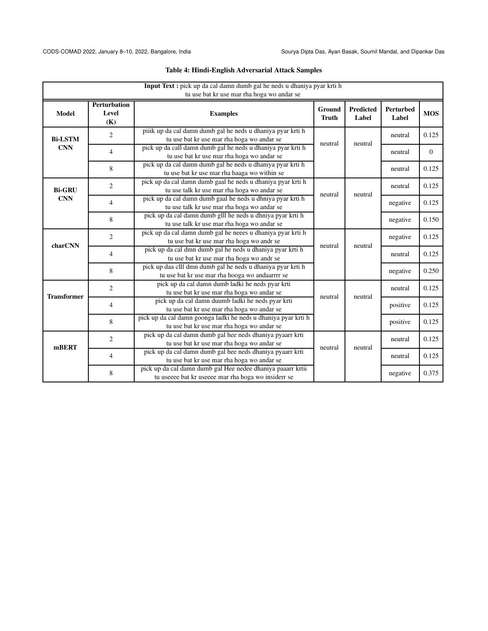<span id="page-5-0"></span>

|                              | Input Text : pick up da cal damn dumb gal he neds u dhaniya pyar krti h<br>tu use bat kr use mar rha hoga wo andar se |                                                                                                                    |                               |                           |                    |                |  |  |  |
|------------------------------|-----------------------------------------------------------------------------------------------------------------------|--------------------------------------------------------------------------------------------------------------------|-------------------------------|---------------------------|--------------------|----------------|--|--|--|
| <b>Model</b>                 | <b>Perturbation</b><br>Level<br>(K)                                                                                   | <b>Examples</b>                                                                                                    | <b>Ground</b><br><b>Truth</b> | <b>Predicted</b><br>Label | Perturbed<br>Label | <b>MOS</b>     |  |  |  |
| <b>Bi-LSTM</b><br><b>CNN</b> | $\overline{2}$                                                                                                        | piiik up da cal damn dumb gal he neds u dhaniya pyar krti h<br>tu use bat kr use mar rha hoga wo andar se          |                               |                           | neutral            | 0.125          |  |  |  |
|                              | 4                                                                                                                     | pick up da call damn dumb gal he neds u dhaniya pyar krti h<br>tu use bat kr use mar rha hoga wo andar se          | neutral                       | neutral                   | neutral            | $\overline{0}$ |  |  |  |
|                              | 8                                                                                                                     | pick up da cal damn dumb gal he neds u dhaniya pyar krti h<br>tu use bat kr use mar rha haaga wo within se         |                               |                           | neutral            | 0.125          |  |  |  |
| <b>Bi-GRU</b>                | $\overline{2}$                                                                                                        | pick up da cal damn dumb gaal he neds u dhaniya pyar krti h<br>tu use talk kr use mar rha hoga wo andar se         | neutral                       | neutral                   | neutral            | 0.125          |  |  |  |
| <b>CNN</b>                   | $\overline{4}$                                                                                                        | pick up da cal damn dumb gaal he neds u dhniya pyar krti h<br>tu use talk kr use mar rha hoga wo andar se          |                               |                           | negative           | 0.125          |  |  |  |
|                              | 8                                                                                                                     | pick up da cal damn dumb glll he neds u dhniya pyar krti h<br>tu use talk kr use mar rha hoga wo andar se          |                               |                           | negative           | 0.150          |  |  |  |
| charCNN                      | 2                                                                                                                     | pick up da cal damn dumb gal he neees u dhaniya pyar krti h<br>tu use bat kr use mar rha hoga wo andr se           | neutral                       | neutral                   | negative           | 0.125          |  |  |  |
|                              | 4                                                                                                                     | pick up da cal dmn dumb gal he neds u dhaniya pyar krti h<br>tu use bat kr use mar rha hoga wo andr se             |                               |                           | neutral            | 0.125          |  |  |  |
|                              | 8                                                                                                                     | pick up daa clll dmn dumb gal he neds u dhaniya pyar krti h<br>tu use bat kr use mar rha hooga wo andaarrrr se     |                               |                           | negative           | 0.250          |  |  |  |
| <b>Transformer</b>           | $\overline{2}$                                                                                                        | pick up da cal damn dumb ladki he neds pyar krti<br>tu use bat kr use mar rha hoga wo andar se                     | neutral                       | neutral                   | neutral            | 0.125          |  |  |  |
|                              | 4                                                                                                                     | pick up da cal damn duumb ladki he neds pyar krti<br>tu use bat kr use mar rha hoga wo andar se                    |                               |                           | positive           | 0.125          |  |  |  |
|                              | 8                                                                                                                     | pick up da cal damn goonga ladki he neds u dhaniya pyar krti h<br>tu use bat kr use mar rha hoga wo andar se       |                               |                           | positive           | 0.125          |  |  |  |
| mBERT                        | $\overline{c}$                                                                                                        | pick up da cal damn dumb gal hee neds dhaniya pyaarr krti<br>tu use bat kr use mar rha hoga wo andar se            | neutral                       | neutral                   | neutral            | 0.125          |  |  |  |
|                              | $\overline{4}$                                                                                                        | pick up da cal damn dumb gal hee neds dhaniya pyaarr krti<br>tu use bat kr use mar rha hoga wo andar se            |                               |                           | neutral            | 0.125          |  |  |  |
|                              | 8                                                                                                                     | pick up da cal damn dumb gal Hee nedee dhaniya paaarr krtii<br>tu useeee bat kr useeee mar rha hoga wo insiderr se |                               |                           | negative           | 0.375          |  |  |  |

# Table 4: Hindi-English Adversarial Attack Samples